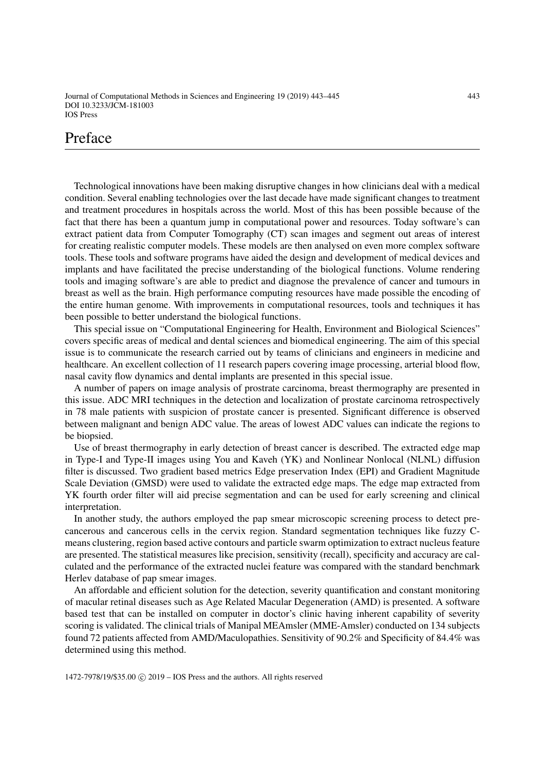Journal of Computational Methods in Sciences and Engineering 19 (2019) 443–445 443 DOI 10.3233/JCM-181003 IOS Press

# Preface

Technological innovations have been making disruptive changes in how clinicians deal with a medical condition. Several enabling technologies over the last decade have made significant changes to treatment and treatment procedures in hospitals across the world. Most of this has been possible because of the fact that there has been a quantum jump in computational power and resources. Today software's can extract patient data from Computer Tomography (CT) scan images and segment out areas of interest for creating realistic computer models. These models are then analysed on even more complex software tools. These tools and software programs have aided the design and development of medical devices and implants and have facilitated the precise understanding of the biological functions. Volume rendering tools and imaging software's are able to predict and diagnose the prevalence of cancer and tumours in breast as well as the brain. High performance computing resources have made possible the encoding of the entire human genome. With improvements in computational resources, tools and techniques it has been possible to better understand the biological functions.

This special issue on "Computational Engineering for Health, Environment and Biological Sciences" covers specific areas of medical and dental sciences and biomedical engineering. The aim of this special issue is to communicate the research carried out by teams of clinicians and engineers in medicine and healthcare. An excellent collection of 11 research papers covering image processing, arterial blood flow, nasal cavity flow dynamics and dental implants are presented in this special issue.

A number of papers on image analysis of prostrate carcinoma, breast thermography are presented in this issue. ADC MRI techniques in the detection and localization of prostate carcinoma retrospectively in 78 male patients with suspicion of prostate cancer is presented. Significant difference is observed between malignant and benign ADC value. The areas of lowest ADC values can indicate the regions to be biopsied.

Use of breast thermography in early detection of breast cancer is described. The extracted edge map in Type-I and Type-II images using You and Kaveh (YK) and Nonlinear Nonlocal (NLNL) diffusion filter is discussed. Two gradient based metrics Edge preservation Index (EPI) and Gradient Magnitude Scale Deviation (GMSD) were used to validate the extracted edge maps. The edge map extracted from YK fourth order filter will aid precise segmentation and can be used for early screening and clinical interpretation.

In another study, the authors employed the pap smear microscopic screening process to detect precancerous and cancerous cells in the cervix region. Standard segmentation techniques like fuzzy Cmeans clustering, region based active contours and particle swarm optimization to extract nucleus feature are presented. The statistical measures like precision, sensitivity (recall), specificity and accuracy are calculated and the performance of the extracted nuclei feature was compared with the standard benchmark Herlev database of pap smear images.

An affordable and efficient solution for the detection, severity quantification and constant monitoring of macular retinal diseases such as Age Related Macular Degeneration (AMD) is presented. A software based test that can be installed on computer in doctor's clinic having inherent capability of severity scoring is validated. The clinical trials of Manipal MEAmsler (MME-Amsler) conducted on 134 subjects found 72 patients affected from AMD/Maculopathies. Sensitivity of 90.2% and Specificity of 84.4% was determined using this method.

1472-7978/19/\$35.00 C 2019 – IOS Press and the authors. All rights reserved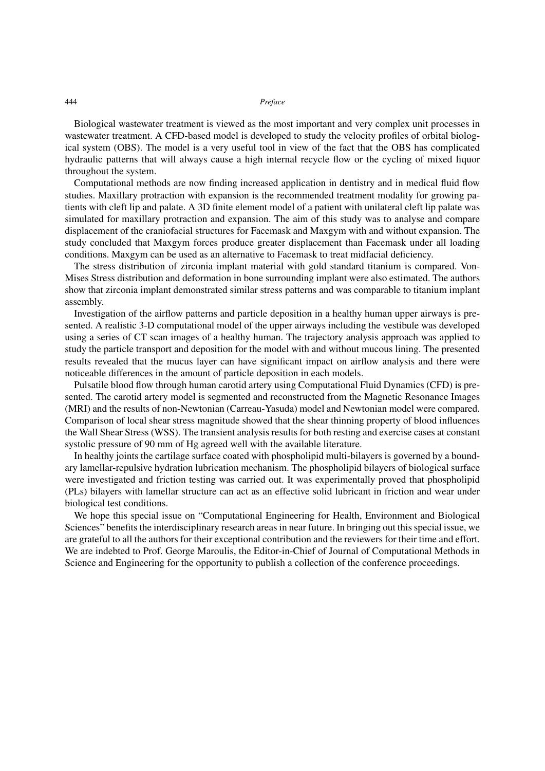## 444 *Preface*

Biological wastewater treatment is viewed as the most important and very complex unit processes in wastewater treatment. A CFD-based model is developed to study the velocity profiles of orbital biological system (OBS). The model is a very useful tool in view of the fact that the OBS has complicated hydraulic patterns that will always cause a high internal recycle flow or the cycling of mixed liquor throughout the system.

Computational methods are now finding increased application in dentistry and in medical fluid flow studies. Maxillary protraction with expansion is the recommended treatment modality for growing patients with cleft lip and palate. A 3D finite element model of a patient with unilateral cleft lip palate was simulated for maxillary protraction and expansion. The aim of this study was to analyse and compare displacement of the craniofacial structures for Facemask and Maxgym with and without expansion. The study concluded that Maxgym forces produce greater displacement than Facemask under all loading conditions. Maxgym can be used as an alternative to Facemask to treat midfacial deficiency.

The stress distribution of zirconia implant material with gold standard titanium is compared. Von-Mises Stress distribution and deformation in bone surrounding implant were also estimated. The authors show that zirconia implant demonstrated similar stress patterns and was comparable to titanium implant assembly.

Investigation of the airflow patterns and particle deposition in a healthy human upper airways is presented. A realistic 3-D computational model of the upper airways including the vestibule was developed using a series of CT scan images of a healthy human. The trajectory analysis approach was applied to study the particle transport and deposition for the model with and without mucous lining. The presented results revealed that the mucus layer can have significant impact on airflow analysis and there were noticeable differences in the amount of particle deposition in each models.

Pulsatile blood flow through human carotid artery using Computational Fluid Dynamics (CFD) is presented. The carotid artery model is segmented and reconstructed from the Magnetic Resonance Images (MRI) and the results of non-Newtonian (Carreau-Yasuda) model and Newtonian model were compared. Comparison of local shear stress magnitude showed that the shear thinning property of blood influences the Wall Shear Stress (WSS). The transient analysis results for both resting and exercise cases at constant systolic pressure of 90 mm of Hg agreed well with the available literature.

In healthy joints the cartilage surface coated with phospholipid multi-bilayers is governed by a boundary lamellar-repulsive hydration lubrication mechanism. The phospholipid bilayers of biological surface were investigated and friction testing was carried out. It was experimentally proved that phospholipid (PLs) bilayers with lamellar structure can act as an effective solid lubricant in friction and wear under biological test conditions.

We hope this special issue on "Computational Engineering for Health, Environment and Biological Sciences" benefits the interdisciplinary research areas in near future. In bringing out this special issue, we are grateful to all the authors for their exceptional contribution and the reviewers for their time and effort. We are indebted to Prof. George Maroulis, the Editor-in-Chief of Journal of Computational Methods in Science and Engineering for the opportunity to publish a collection of the conference proceedings.